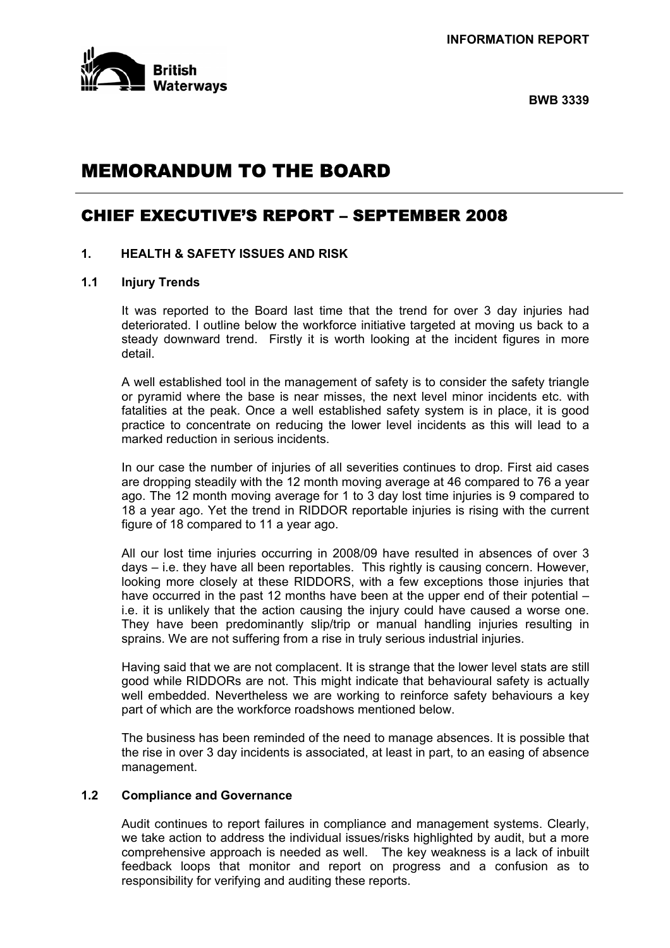

**BWB 3339** 

# MEMORANDUM TO THE BOARD

## CHIEF EXECUTIVE'S REPORT – SEPTEMBER 2008

## **1. HEALTH & SAFETY ISSUES AND RISK**

### **1.1 Injury Trends**

It was reported to the Board last time that the trend for over 3 day injuries had deteriorated. I outline below the workforce initiative targeted at moving us back to a steady downward trend. Firstly it is worth looking at the incident figures in more detail.

A well established tool in the management of safety is to consider the safety triangle or pyramid where the base is near misses, the next level minor incidents etc. with fatalities at the peak. Once a well established safety system is in place, it is good practice to concentrate on reducing the lower level incidents as this will lead to a marked reduction in serious incidents.

In our case the number of injuries of all severities continues to drop. First aid cases are dropping steadily with the 12 month moving average at 46 compared to 76 a year ago. The 12 month moving average for 1 to 3 day lost time injuries is 9 compared to 18 a year ago. Yet the trend in RIDDOR reportable injuries is rising with the current figure of 18 compared to 11 a year ago.

All our lost time injuries occurring in 2008/09 have resulted in absences of over 3 days – i.e. they have all been reportables. This rightly is causing concern. However, looking more closely at these RIDDORS, with a few exceptions those injuries that have occurred in the past 12 months have been at the upper end of their potential – i.e. it is unlikely that the action causing the injury could have caused a worse one. They have been predominantly slip/trip or manual handling injuries resulting in sprains. We are not suffering from a rise in truly serious industrial injuries.

Having said that we are not complacent. It is strange that the lower level stats are still good while RIDDORs are not. This might indicate that behavioural safety is actually well embedded. Nevertheless we are working to reinforce safety behaviours a key part of which are the workforce roadshows mentioned below.

The business has been reminded of the need to manage absences. It is possible that the rise in over 3 day incidents is associated, at least in part, to an easing of absence management.

## **1.2 Compliance and Governance**

Audit continues to report failures in compliance and management systems. Clearly, we take action to address the individual issues/risks highlighted by audit, but a more comprehensive approach is needed as well. The key weakness is a lack of inbuilt feedback loops that monitor and report on progress and a confusion as to responsibility for verifying and auditing these reports.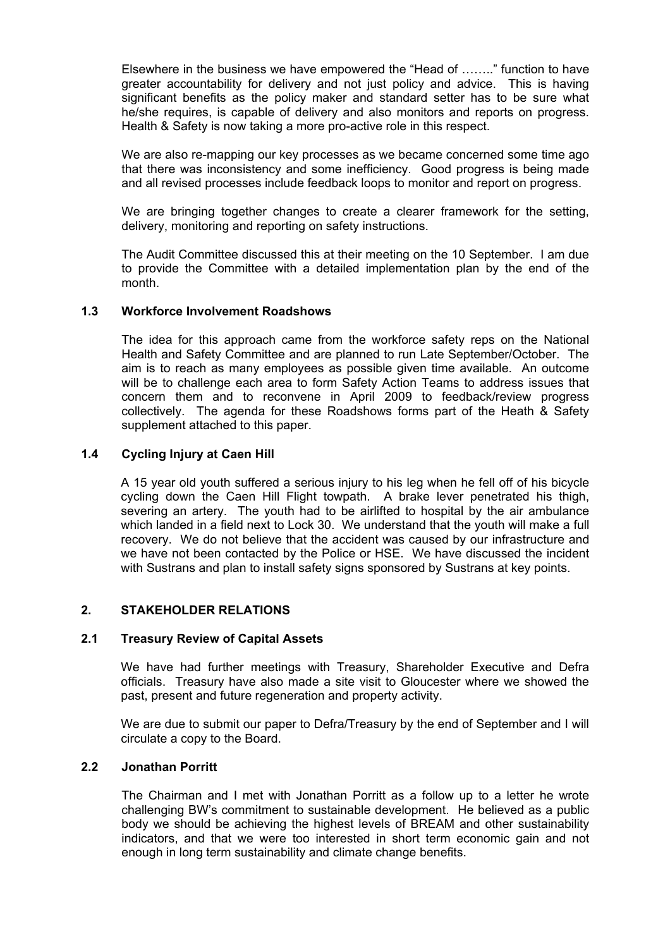Elsewhere in the business we have empowered the "Head of …….." function to have greater accountability for delivery and not just policy and advice. This is having significant benefits as the policy maker and standard setter has to be sure what he/she requires, is capable of delivery and also monitors and reports on progress. Health & Safety is now taking a more pro-active role in this respect.

We are also re-mapping our key processes as we became concerned some time ago that there was inconsistency and some inefficiency. Good progress is being made and all revised processes include feedback loops to monitor and report on progress.

We are bringing together changes to create a clearer framework for the setting, delivery, monitoring and reporting on safety instructions.

The Audit Committee discussed this at their meeting on the 10 September. I am due to provide the Committee with a detailed implementation plan by the end of the month.

## **1.3 Workforce Involvement Roadshows**

The idea for this approach came from the workforce safety reps on the National Health and Safety Committee and are planned to run Late September/October. The aim is to reach as many employees as possible given time available. An outcome will be to challenge each area to form Safety Action Teams to address issues that concern them and to reconvene in April 2009 to feedback/review progress collectively. The agenda for these Roadshows forms part of the Heath & Safety supplement attached to this paper.

## **1.4 Cycling Injury at Caen Hill**

A 15 year old youth suffered a serious injury to his leg when he fell off of his bicycle cycling down the Caen Hill Flight towpath. A brake lever penetrated his thigh, severing an artery. The youth had to be airlifted to hospital by the air ambulance which landed in a field next to Lock 30. We understand that the youth will make a full recovery. We do not believe that the accident was caused by our infrastructure and we have not been contacted by the Police or HSE. We have discussed the incident with Sustrans and plan to install safety signs sponsored by Sustrans at key points.

## **2. STAKEHOLDER RELATIONS**

#### **2.1 Treasury Review of Capital Assets**

 We have had further meetings with Treasury, Shareholder Executive and Defra officials. Treasury have also made a site visit to Gloucester where we showed the past, present and future regeneration and property activity.

 We are due to submit our paper to Defra/Treasury by the end of September and I will circulate a copy to the Board.

#### **2.2 Jonathan Porritt**

 The Chairman and I met with Jonathan Porritt as a follow up to a letter he wrote challenging BW's commitment to sustainable development. He believed as a public body we should be achieving the highest levels of BREAM and other sustainability indicators, and that we were too interested in short term economic gain and not enough in long term sustainability and climate change benefits.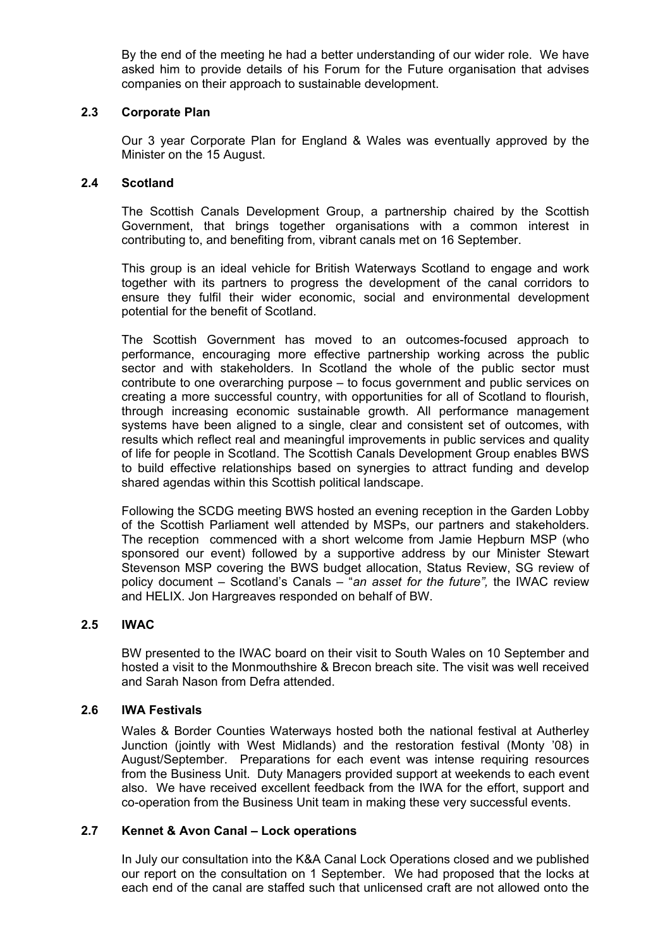By the end of the meeting he had a better understanding of our wider role. We have asked him to provide details of his Forum for the Future organisation that advises companies on their approach to sustainable development.

## **2.3 Corporate Plan**

 Our 3 year Corporate Plan for England & Wales was eventually approved by the Minister on the 15 August.

## **2.4 Scotland**

 The Scottish Canals Development Group, a partnership chaired by the Scottish Government, that brings together organisations with a common interest in contributing to, and benefiting from, vibrant canals met on 16 September.

This group is an ideal vehicle for British Waterways Scotland to engage and work together with its partners to progress the development of the canal corridors to ensure they fulfil their wider economic, social and environmental development potential for the benefit of Scotland.

The Scottish Government has moved to an outcomes-focused approach to performance, encouraging more effective partnership working across the public sector and with stakeholders. In Scotland the whole of the public sector must contribute to one overarching purpose – to focus government and public services on creating a more successful country, with opportunities for all of Scotland to flourish, through increasing economic sustainable growth. All performance management systems have been aligned to a single, clear and consistent set of outcomes, with results which reflect real and meaningful improvements in public services and quality of life for people in Scotland. The Scottish Canals Development Group enables BWS to build effective relationships based on synergies to attract funding and develop shared agendas within this Scottish political landscape.

Following the SCDG meeting BWS hosted an evening reception in the Garden Lobby of the Scottish Parliament well attended by MSPs, our partners and stakeholders. The reception commenced with a short welcome from Jamie Hepburn MSP (who sponsored our event) followed by a supportive address by our Minister Stewart Stevenson MSP covering the BWS budget allocation, Status Review, SG review of policy document – Scotland's Canals – "*an asset for the future",* the IWAC review and HELIX. Jon Hargreaves responded on behalf of BW.

## **2.5 IWAC**

BW presented to the IWAC board on their visit to South Wales on 10 September and hosted a visit to the Monmouthshire & Brecon breach site. The visit was well received and Sarah Nason from Defra attended.

#### **2.6 IWA Festivals**

Wales & Border Counties Waterways hosted both the national festival at Autherley Junction (jointly with West Midlands) and the restoration festival (Monty '08) in August/September. Preparations for each event was intense requiring resources from the Business Unit. Duty Managers provided support at weekends to each event also. We have received excellent feedback from the IWA for the effort, support and co-operation from the Business Unit team in making these very successful events.

#### **2.7 Kennet & Avon Canal – Lock operations**

 In July our consultation into the K&A Canal Lock Operations closed and we published our report on the consultation on 1 September. We had proposed that the locks at each end of the canal are staffed such that unlicensed craft are not allowed onto the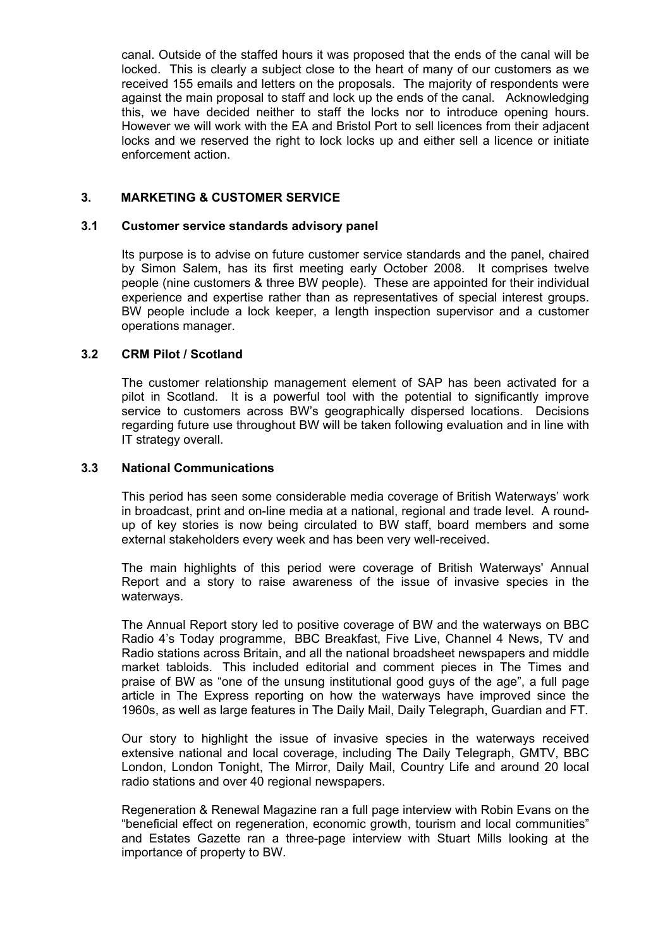canal. Outside of the staffed hours it was proposed that the ends of the canal will be locked. This is clearly a subject close to the heart of many of our customers as we received 155 emails and letters on the proposals. The majority of respondents were against the main proposal to staff and lock up the ends of the canal. Acknowledging this, we have decided neither to staff the locks nor to introduce opening hours. However we will work with the EA and Bristol Port to sell licences from their adjacent locks and we reserved the right to lock locks up and either sell a licence or initiate enforcement action.

## **3. MARKETING & CUSTOMER SERVICE**

#### **3.1 Customer service standards advisory panel**

Its purpose is to advise on future customer service standards and the panel, chaired by Simon Salem, has its first meeting early October 2008. It comprises twelve people (nine customers & three BW people). These are appointed for their individual experience and expertise rather than as representatives of special interest groups. BW people include a lock keeper, a length inspection supervisor and a customer operations manager.

### **3.2 CRM Pilot / Scotland**

The customer relationship management element of SAP has been activated for a pilot in Scotland. It is a powerful tool with the potential to significantly improve service to customers across BW's geographically dispersed locations. Decisions regarding future use throughout BW will be taken following evaluation and in line with IT strategy overall.

#### **3.3 National Communications**

This period has seen some considerable media coverage of British Waterways' work in broadcast, print and on-line media at a national, regional and trade level. A roundup of key stories is now being circulated to BW staff, board members and some external stakeholders every week and has been very well-received.

The main highlights of this period were coverage of British Waterways' Annual Report and a story to raise awareness of the issue of invasive species in the waterways.

The Annual Report story led to positive coverage of BW and the waterways on BBC Radio 4's Today programme, BBC Breakfast, Five Live, Channel 4 News, TV and Radio stations across Britain, and all the national broadsheet newspapers and middle market tabloids. This included editorial and comment pieces in The Times and praise of BW as "one of the unsung institutional good guys of the age", a full page article in The Express reporting on how the waterways have improved since the 1960s, as well as large features in The Daily Mail, Daily Telegraph, Guardian and FT.

Our story to highlight the issue of invasive species in the waterways received extensive national and local coverage, including The Daily Telegraph, GMTV, BBC London, London Tonight, The Mirror, Daily Mail, Country Life and around 20 local radio stations and over 40 regional newspapers.

Regeneration & Renewal Magazine ran a full page interview with Robin Evans on the "beneficial effect on regeneration, economic growth, tourism and local communities" and Estates Gazette ran a three-page interview with Stuart Mills looking at the importance of property to BW.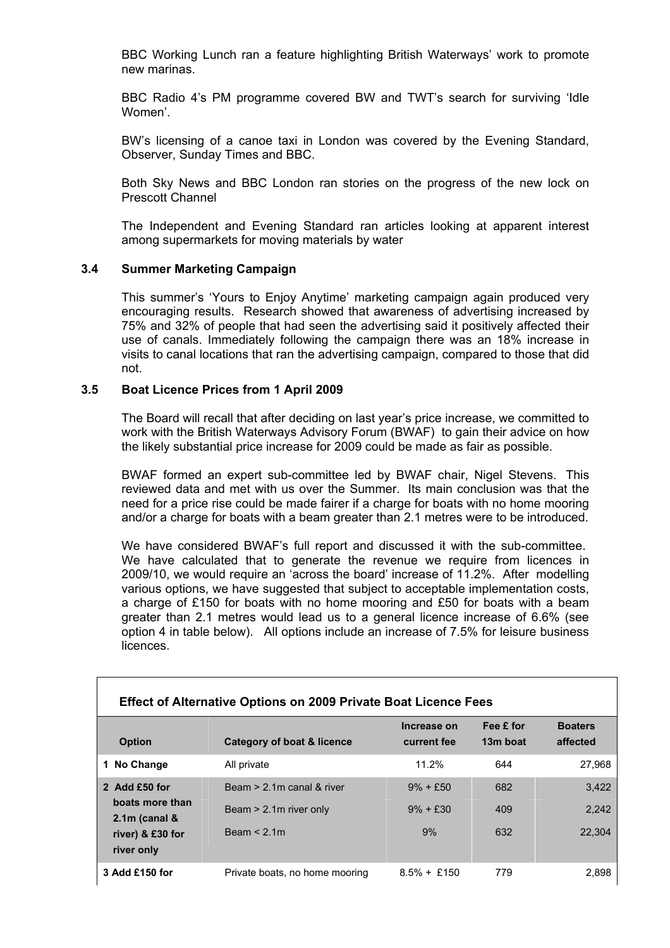BBC Working Lunch ran a feature highlighting British Waterways' work to promote new marinas.

BBC Radio 4's PM programme covered BW and TWT's search for surviving 'Idle Women'.

BW's licensing of a canoe taxi in London was covered by the Evening Standard, Observer, Sunday Times and BBC.

Both Sky News and BBC London ran stories on the progress of the new lock on Prescott Channel

The Independent and Evening Standard ran articles looking at apparent interest among supermarkets for moving materials by water

#### **3.4 Summer Marketing Campaign**

 This summer's 'Yours to Enjoy Anytime' marketing campaign again produced very encouraging results. Research showed that awareness of advertising increased by 75% and 32% of people that had seen the advertising said it positively affected their use of canals. Immediately following the campaign there was an 18% increase in visits to canal locations that ran the advertising campaign, compared to those that did not.

#### **3.5 Boat Licence Prices from 1 April 2009**

The Board will recall that after deciding on last year's price increase, we committed to work with the British Waterways Advisory Forum (BWAF) to gain their advice on how the likely substantial price increase for 2009 could be made as fair as possible.

BWAF formed an expert sub-committee led by BWAF chair, Nigel Stevens. This reviewed data and met with us over the Summer. Its main conclusion was that the need for a price rise could be made fairer if a charge for boats with no home mooring and/or a charge for boats with a beam greater than 2.1 metres were to be introduced.

We have considered BWAF's full report and discussed it with the sub-committee. We have calculated that to generate the revenue we require from licences in 2009/10, we would require an 'across the board' increase of 11.2%. After modelling various options, we have suggested that subject to acceptable implementation costs, a charge of £150 for boats with no home mooring and £50 for boats with a beam greater than 2.1 metres would lead us to a general licence increase of 6.6% (see option 4 in table below). All options include an increase of 7.5% for leisure business licences.

| <b>Effect of Alternative Options on 2009 Private Boat Licence Fees</b> |                                |                            |                       |                            |  |  |
|------------------------------------------------------------------------|--------------------------------|----------------------------|-----------------------|----------------------------|--|--|
| <b>Option</b>                                                          | Category of boat & licence     | Increase on<br>current fee | Fee £ for<br>13m boat | <b>Boaters</b><br>affected |  |  |
| 1 No Change                                                            | All private                    | 11.2%                      | 644                   | 27,968                     |  |  |
| 2 Add $£50$ for<br>boats more than                                     | Beam $> 2.1$ m canal & river   | $9\% + £50$                | 682                   | 3,422                      |  |  |
| $2.1m$ (canal $\&$                                                     | Beam > 2.1m river only         | $9\% + £30$                | 409                   | 2,242                      |  |  |
| river) & £30 for<br>river only                                         | Beam < 2.1m                    | 9%                         | 632                   | 22,304                     |  |  |
| 3 Add £150 for                                                         | Private boats, no home mooring | $8.5\% + £150$             | 779                   | 2,898                      |  |  |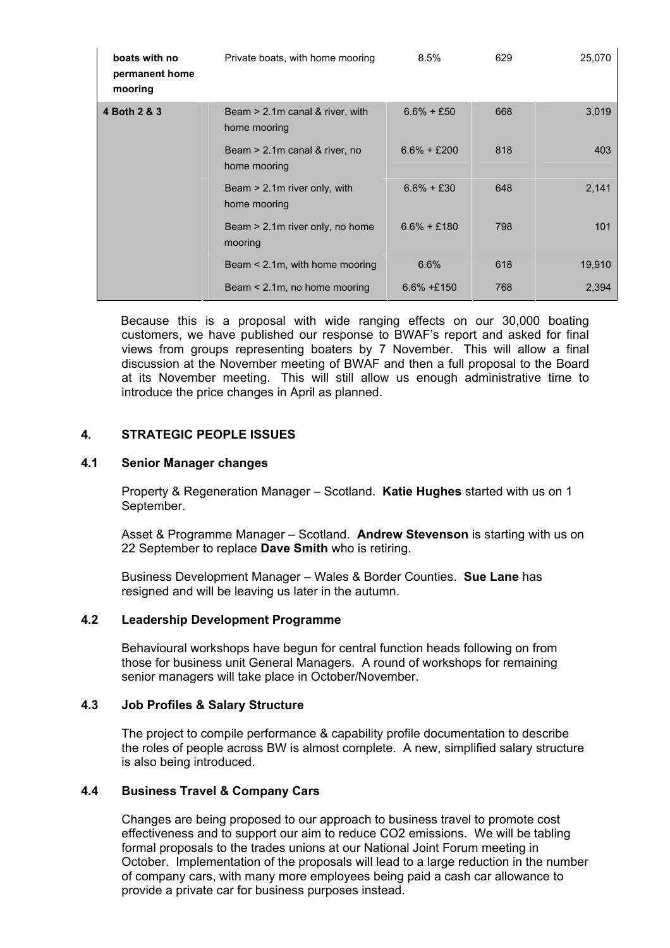| boats with no<br>permanent home<br>mooring | Private boats, with home mooring                   | $8.5\%$        | 629 | 25,070 |
|--------------------------------------------|----------------------------------------------------|----------------|-----|--------|
| 4 Both 2 & 3                               | Beam $> 2.1$ m canal & river, with<br>home mooring | $6.6\% + £50$  | 668 | 3,019  |
|                                            | Beam > 2.1m canal & river, no<br>home mooring      | $6.6\% + £200$ | 818 | 403    |
|                                            | Beam $> 2.1$ m river only, with<br>home mooring    | $6.6\% + £30$  | 648 | 2,141  |
|                                            | Beam $> 2.1$ m river only, no home<br>mooring      | $6.6\% + £180$ | 798 | 101    |
|                                            | Beam $\leq$ 2.1m, with home mooring                | 6.6%           | 618 | 19,910 |
|                                            | Beam $\leq$ 2.1m, no home mooring                  | $6.6\% + £150$ | 768 | 2,394  |

Because this is a proposal with wide ranging effects on our 30,000 boating customers, we have published our response to BWAF's report and asked for final views from groups representing boaters by 7 November. This will allow a final discussion at the November meeting of BWAF and then a full proposal to the Board at its November meeting. This will still allow us enough administrative time to introduce the price changes in April as planned.

## **4. STRATEGIC PEOPLE ISSUES**

## **4.1 Senior Manager changes**

Property & Regeneration Manager – Scotland. **Katie Hughes** started with us on 1 September.

Asset & Programme Manager – Scotland. **Andrew Stevenson** is starting with us on 22 September to replace **Dave Smith** who is retiring.

Business Development Manager – Wales & Border Counties. **Sue Lane** has resigned and will be leaving us later in the autumn.

#### **4.2 Leadership Development Programme**

Behavioural workshops have begun for central function heads following on from those for business unit General Managers. A round of workshops for remaining senior managers will take place in October/November.

#### **4.3 Job Profiles & Salary Structure**

The project to compile performance & capability profile documentation to describe the roles of people across BW is almost complete. A new, simplified salary structure is also being introduced.

#### **4.4 Business Travel & Company Cars**

Changes are being proposed to our approach to business travel to promote cost effectiveness and to support our aim to reduce CO2 emissions. We will be tabling formal proposals to the trades unions at our National Joint Forum meeting in October. Implementation of the proposals will lead to a large reduction in the number of company cars, with many more employees being paid a cash car allowance to provide a private car for business purposes instead.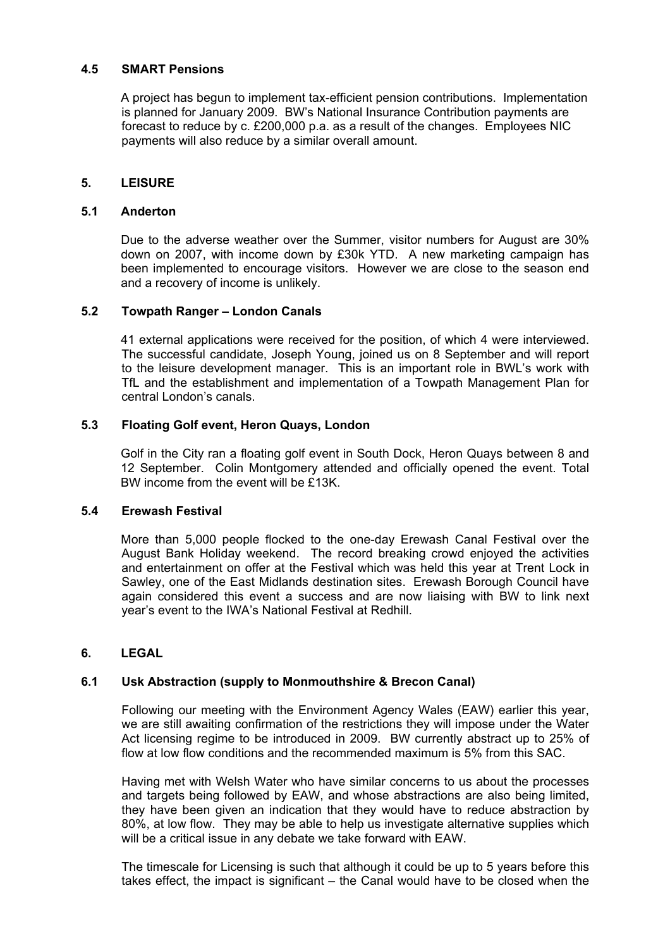## **4.5 SMART Pensions**

A project has begun to implement tax-efficient pension contributions. Implementation is planned for January 2009. BW's National Insurance Contribution payments are forecast to reduce by c. £200,000 p.a. as a result of the changes. Employees NIC payments will also reduce by a similar overall amount.

## **5. LEISURE**

#### **5.1 Anderton**

Due to the adverse weather over the Summer, visitor numbers for August are 30% down on 2007, with income down by £30k YTD. A new marketing campaign has been implemented to encourage visitors. However we are close to the season end and a recovery of income is unlikely.

### **5.2 Towpath Ranger – London Canals**

41 external applications were received for the position, of which 4 were interviewed. The successful candidate, Joseph Young, joined us on 8 September and will report to the leisure development manager. This is an important role in BWL's work with TfL and the establishment and implementation of a Towpath Management Plan for central London's canals.

## **5.3 Floating Golf event, Heron Quays, London**

Golf in the City ran a floating golf event in South Dock, Heron Quays between 8 and 12 September. Colin Montgomery attended and officially opened the event. Total BW income from the event will be £13K.

## **5.4 Erewash Festival**

More than 5,000 people flocked to the one-day Erewash Canal Festival over the August Bank Holiday weekend. The record breaking crowd enjoyed the activities and entertainment on offer at the Festival which was held this year at Trent Lock in Sawley, one of the East Midlands destination sites. Erewash Borough Council have again considered this event a success and are now liaising with BW to link next year's event to the IWA's National Festival at Redhill.

## **6. LEGAL**

## **6.1 Usk Abstraction (supply to Monmouthshire & Brecon Canal)**

Following our meeting with the Environment Agency Wales (EAW) earlier this year, we are still awaiting confirmation of the restrictions they will impose under the Water Act licensing regime to be introduced in 2009. BW currently abstract up to 25% of flow at low flow conditions and the recommended maximum is 5% from this SAC.

Having met with Welsh Water who have similar concerns to us about the processes and targets being followed by EAW, and whose abstractions are also being limited, they have been given an indication that they would have to reduce abstraction by 80%, at low flow. They may be able to help us investigate alternative supplies which will be a critical issue in any debate we take forward with EAW.

The timescale for Licensing is such that although it could be up to 5 years before this takes effect, the impact is significant – the Canal would have to be closed when the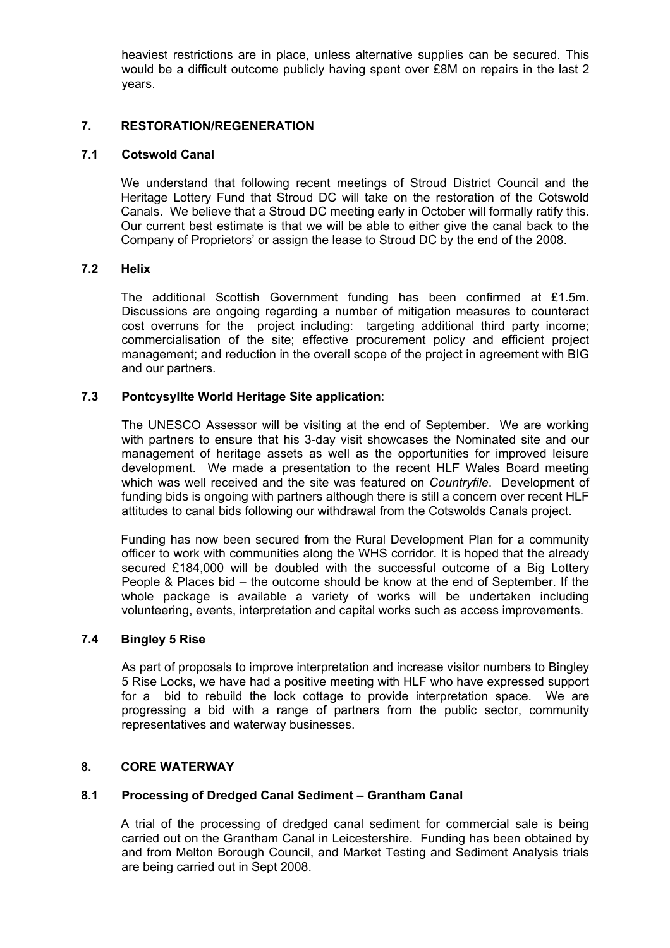heaviest restrictions are in place, unless alternative supplies can be secured. This would be a difficult outcome publicly having spent over £8M on repairs in the last 2 years.

## **7. RESTORATION/REGENERATION**

#### **7.1 Cotswold Canal**

We understand that following recent meetings of Stroud District Council and the Heritage Lottery Fund that Stroud DC will take on the restoration of the Cotswold Canals. We believe that a Stroud DC meeting early in October will formally ratify this. Our current best estimate is that we will be able to either give the canal back to the Company of Proprietors' or assign the lease to Stroud DC by the end of the 2008.

## **7.2 Helix**

The additional Scottish Government funding has been confirmed at £1.5m. Discussions are ongoing regarding a number of mitigation measures to counteract cost overruns for the project including: targeting additional third party income; commercialisation of the site; effective procurement policy and efficient project management; and reduction in the overall scope of the project in agreement with BIG and our partners.

### **7.3 Pontcysyllte World Heritage Site application**:

The UNESCO Assessor will be visiting at the end of September. We are working with partners to ensure that his 3-day visit showcases the Nominated site and our management of heritage assets as well as the opportunities for improved leisure development. We made a presentation to the recent HLF Wales Board meeting which was well received and the site was featured on *Countryfile*. Development of funding bids is ongoing with partners although there is still a concern over recent HLF attitudes to canal bids following our withdrawal from the Cotswolds Canals project.

Funding has now been secured from the Rural Development Plan for a community officer to work with communities along the WHS corridor. It is hoped that the already secured £184,000 will be doubled with the successful outcome of a Big Lottery People & Places bid – the outcome should be know at the end of September. If the whole package is available a variety of works will be undertaken including volunteering, events, interpretation and capital works such as access improvements.

#### **7.4 Bingley 5 Rise**

As part of proposals to improve interpretation and increase visitor numbers to Bingley 5 Rise Locks, we have had a positive meeting with HLF who have expressed support for a bid to rebuild the lock cottage to provide interpretation space. We are progressing a bid with a range of partners from the public sector, community representatives and waterway businesses.

#### **8. CORE WATERWAY**

#### **8.1 Processing of Dredged Canal Sediment – Grantham Canal**

A trial of the processing of dredged canal sediment for commercial sale is being carried out on the Grantham Canal in Leicestershire. Funding has been obtained by and from Melton Borough Council, and Market Testing and Sediment Analysis trials are being carried out in Sept 2008.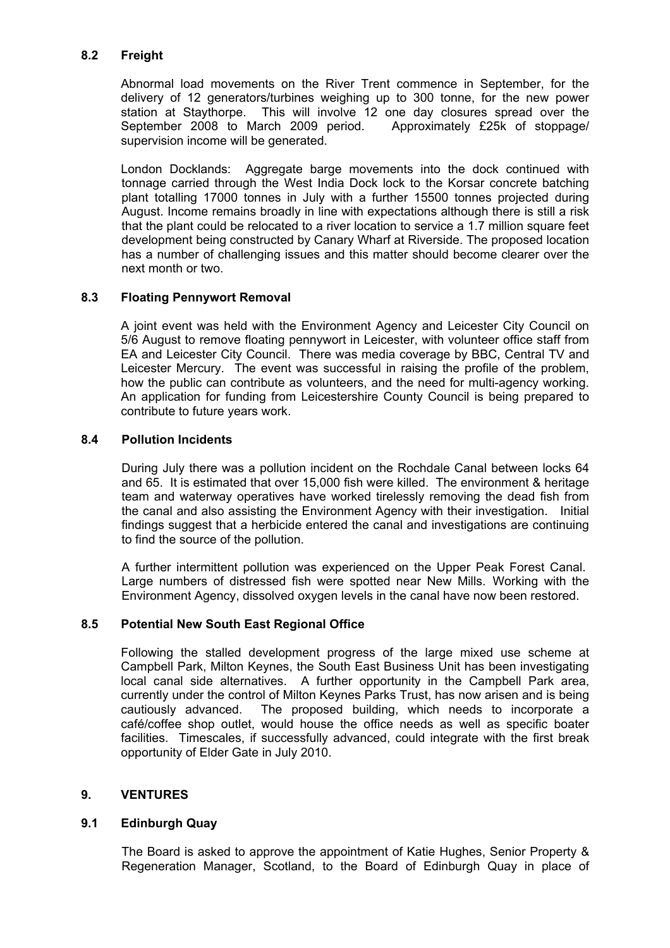## **8.2 Freight**

Abnormal load movements on the River Trent commence in September, for the delivery of 12 generators/turbines weighing up to 300 tonne, for the new power station at Staythorpe. This will involve 12 one day closures spread over the September 2008 to March 2009 period. Approximately £25k of stoppage/ supervision income will be generated.

London Docklands: Aggregate barge movements into the dock continued with tonnage carried through the West India Dock lock to the Korsar concrete batching plant totalling 17000 tonnes in July with a further 15500 tonnes projected during August. Income remains broadly in line with expectations although there is still a risk that the plant could be relocated to a river location to service a 1.7 million square feet development being constructed by Canary Wharf at Riverside. The proposed location has a number of challenging issues and this matter should become clearer over the next month or two.

## **8.3 Floating Pennywort Removal**

A joint event was held with the Environment Agency and Leicester City Council on 5/6 August to remove floating pennywort in Leicester, with volunteer office staff from EA and Leicester City Council. There was media coverage by BBC, Central TV and Leicester Mercury. The event was successful in raising the profile of the problem, how the public can contribute as volunteers, and the need for multi-agency working. An application for funding from Leicestershire County Council is being prepared to contribute to future years work.

## **8.4 Pollution Incidents**

During July there was a pollution incident on the Rochdale Canal between locks 64 and 65. It is estimated that over 15,000 fish were killed. The environment & heritage team and waterway operatives have worked tirelessly removing the dead fish from the canal and also assisting the Environment Agency with their investigation. Initial findings suggest that a herbicide entered the canal and investigations are continuing to find the source of the pollution.

A further intermittent pollution was experienced on the Upper Peak Forest Canal. Large numbers of distressed fish were spotted near New Mills. Working with the Environment Agency, dissolved oxygen levels in the canal have now been restored.

## **8.5 Potential New South East Regional Office**

Following the stalled development progress of the large mixed use scheme at Campbell Park, Milton Keynes, the South East Business Unit has been investigating local canal side alternatives. A further opportunity in the Campbell Park area, currently under the control of Milton Keynes Parks Trust, has now arisen and is being cautiously advanced. The proposed building, which needs to incorporate a café/coffee shop outlet, would house the office needs as well as specific boater facilities. Timescales, if successfully advanced, could integrate with the first break opportunity of Elder Gate in July 2010.

## **9. VENTURES**

## **9.1 Edinburgh Quay**

 The Board is asked to approve the appointment of Katie Hughes, Senior Property & Regeneration Manager, Scotland, to the Board of Edinburgh Quay in place of